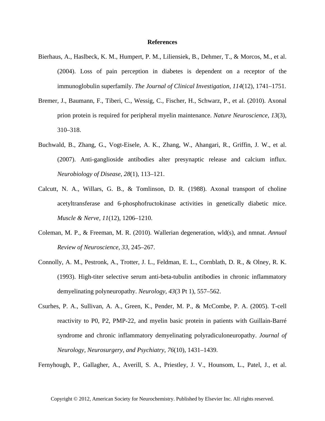## **References**

- Bierhaus, A., Haslbeck, K. M., Humpert, P. M., Liliensiek, B., Dehmer, T., & Morcos, M., et al. (2004). Loss of pain perception in diabetes is dependent on a receptor of the immunoglobulin superfamily. *The Journal of Clinical Investigation*, *114*(12), 1741–1751.
- Bremer, J., Baumann, F., Tiberi, C., Wessig, C., Fischer, H., Schwarz, P., et al. (2010). Axonal prion protein is required for peripheral myelin maintenance. *Nature Neuroscience*, *13*(3), 310–318.
- Buchwald, B., Zhang, G., Vogt-Eisele, A. K., Zhang, W., Ahangari, R., Griffin, J. W., et al. (2007). Anti-ganglioside antibodies alter presynaptic release and calcium influx. *Neurobiology of Disease*, *28*(1), 113–121.
- Calcutt, N. A., Willars, G. B., & Tomlinson, D. R. (1988). Axonal transport of choline acetyltransferase and 6-phosphofructokinase activities in genetically diabetic mice. *Muscle & Nerve*, *11*(12), 1206–1210.
- Coleman, M. P., & Freeman, M. R. (2010). Wallerian degeneration, wld(s), and nmnat. *Annual Review of Neuroscience*, *33*, 245–267.
- Connolly, A. M., Pestronk, A., Trotter, J. L., Feldman, E. L., Cornblath, D. R., & Olney, R. K. (1993). High-titer selective serum anti-beta-tubulin antibodies in chronic inflammatory demyelinating polyneuropathy. *Neurology*, *43*(3 Pt 1), 557–562.
- Csurhes, P. A., Sullivan, A. A., Green, K., Pender, M. P., & McCombe, P. A. (2005). T-cell reactivity to P0, P2, PMP-22, and myelin basic protein in patients with Guillain-Barré syndrome and chronic inflammatory demyelinating polyradiculoneuropathy. *Journal of Neurology, Neurosurgery, and Psychiatry*, *76*(10), 1431–1439.

Fernyhough, P., Gallagher, A., Averill, S. A., Priestley, J. V., Hounsom, L., Patel, J., et al.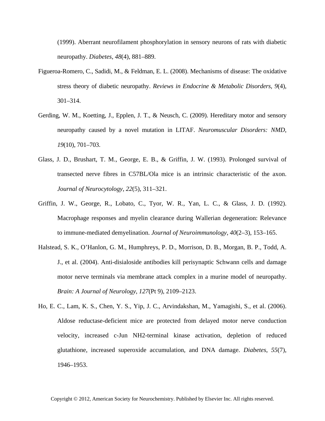(1999). Aberrant neurofilament phosphorylation in sensory neurons of rats with diabetic neuropathy. *Diabetes*, *48*(4), 881–889.

- Figueroa-Romero, C., Sadidi, M., & Feldman, E. L. (2008). Mechanisms of disease: The oxidative stress theory of diabetic neuropathy. *Reviews in Endocrine & Metabolic Disorders*, *9*(4), 301–314.
- Gerding, W. M., Koetting, J., Epplen, J. T., & Neusch, C. (2009). Hereditary motor and sensory neuropathy caused by a novel mutation in LITAF. *Neuromuscular Disorders: NMD*, *19*(10), 701–703.
- Glass, J. D., Brushart, T. M., George, E. B., & Griffin, J. W. (1993). Prolonged survival of transected nerve fibres in C57BL/Ola mice is an intrinsic characteristic of the axon. *Journal of Neurocytology*, *22*(5), 311–321.
- Griffin, J. W., George, R., Lobato, C., Tyor, W. R., Yan, L. C., & Glass, J. D. (1992). Macrophage responses and myelin clearance during Wallerian degeneration: Relevance to immune-mediated demyelination. *Journal of Neuroimmunology*, *40*(2–3), 153–165.
- Halstead, S. K., O'Hanlon, G. M., Humphreys, P. D., Morrison, D. B., Morgan, B. P., Todd, A. J., et al. (2004). Anti-disialoside antibodies kill perisynaptic Schwann cells and damage motor nerve terminals via membrane attack complex in a murine model of neuropathy. *Brain: A Journal of Neurology*, *127*(Pt 9), 2109–2123.
- Ho, E. C., Lam, K. S., Chen, Y. S., Yip, J. C., Arvindakshan, M., Yamagishi, S., et al. (2006). Aldose reductase-deficient mice are protected from delayed motor nerve conduction velocity, increased c-Jun NH2-terminal kinase activation, depletion of reduced glutathione, increased superoxide accumulation, and DNA damage. *Diabetes*, *55*(7), 1946–1953.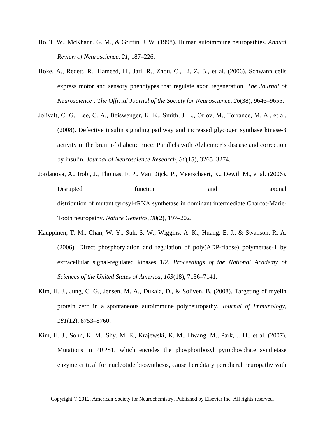- Ho, T. W., McKhann, G. M., & Griffin, J. W. (1998). Human autoimmune neuropathies. *Annual Review of Neuroscience*, *21*, 187–226.
- Hoke, A., Redett, R., Hameed, H., Jari, R., Zhou, C., Li, Z. B., et al. (2006). Schwann cells express motor and sensory phenotypes that regulate axon regeneration. *The Journal of Neuroscience : The Official Journal of the Society for Neuroscience*, *26*(38), 9646–9655.
- Jolivalt, C. G., Lee, C. A., Beiswenger, K. K., Smith, J. L., Orlov, M., Torrance, M. A., et al. (2008). Defective insulin signaling pathway and increased glycogen synthase kinase-3 activity in the brain of diabetic mice: Parallels with Alzheimer's disease and correction by insulin. *Journal of Neuroscience Research*, *86*(15), 3265–3274.
- Jordanova, A., Irobi, J., Thomas, F. P., Van Dijck, P., Meerschaert, K., Dewil, M., et al. (2006). Disrupted function and axonal distribution of mutant tyrosyl-tRNA synthetase in dominant intermediate Charcot-Marie-Tooth neuropathy. *Nature Genetics*, *38*(2), 197–202.
- Kauppinen, T. M., Chan, W. Y., Suh, S. W., Wiggins, A. K., Huang, E. J., & Swanson, R. A. (2006). Direct phosphorylation and regulation of poly(ADP-ribose) polymerase-1 by extracellular signal-regulated kinases 1/2. *Proceedings of the National Academy of Sciences of the United States of America*, *103*(18), 7136–7141.
- Kim, H. J., Jung, C. G., Jensen, M. A., Dukala, D., & Soliven, B. (2008). Targeting of myelin protein zero in a spontaneous autoimmune polyneuropathy. *Journal of Immunology*, *181*(12), 8753–8760.
- Kim, H. J., Sohn, K. M., Shy, M. E., Krajewski, K. M., Hwang, M., Park, J. H., et al. (2007). Mutations in PRPS1, which encodes the phosphoribosyl pyrophosphate synthetase enzyme critical for nucleotide biosynthesis, cause hereditary peripheral neuropathy with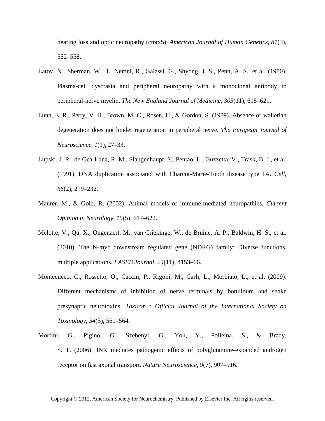hearing loss and optic neuropathy (cmtx5). *American Journal of Human Genetics*, *81*(3), 552–558.

- Latov, N., Sherman, W. H., Nemni, R., Galassi, G., Shyong, J. S., Penn, A. S., et al. (1980). Plasma-cell dyscrasia and peripheral neuropathy with a monoclonal antibody to peripheral-nerve myelin. *The New England Journal of Medicine*, *303*(11), 618–621.
- Lunn, E. R., Perry, V. H., Brown, M. C., Rosen, H., & Gordon, S. (1989). Absence of wallerian degeneration does not hinder regeneration in peripheral nerve. *The European Journal of Neuroscience*, *1*(1), 27–33.
- Lupski, J. R., de Oca-Luna, R. M., Slaugenhaupt, S., Pentao, L., Guzzetta, V., Trask, B. J., et al. (1991). DNA duplication associated with Charcot-Marie-Tooth disease type 1A. *Cell*, *66*(2), 219–232.
- Maurer, M., & Gold, R. (2002). Animal models of immune-mediated neuropathies. *Current Opinion in Neurology*, *15*(5), 617–622.
- Melotte, V., Qu, X., Ongenaert, M., van Criekinge, W., de Bruine, A. P., Baldwin, H. S., et al. (2010). The N-myc downstream regulated gene (NDRG) family: Diverse functions, multiple applications. *FASEB Journal*, *24*(11), 4153–66.
- Montecucco, C., Rossetto, O., Caccin, P., Rigoni, M., Carli, L., Morbiato, L., et al. (2009). Different mechanisms of inhibition of nerve terminals by botulinum and snake presynaptic neurotoxins. *Toxicon : Official Journal of the International Society on Toxinology*, *54*(5), 561–564.
- Morfini, G., Pigino, G., Szebenyi, G., You, Y., Pollema, S., & Brady, S. T. (2006). JNK mediates pathogenic effects of polyglutamine-expanded androgen receptor on fast axonal transport. *Nature Neuroscience*, *9*(7), 907–916.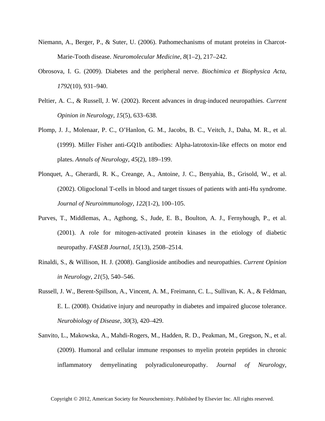- Niemann, A., Berger, P., & Suter, U. (2006). Pathomechanisms of mutant proteins in Charcot-Marie-Tooth disease. *Neuromolecular Medicine*, *8*(1–2), 217–242.
- Obrosova, I. G. (2009). Diabetes and the peripheral nerve. *Biochimica et Biophysica Acta*, *1792*(10), 931–940.
- Peltier, A. C., & Russell, J. W. (2002). Recent advances in drug-induced neuropathies. *Current Opinion in Neurology*, *15*(5), 633–638.
- Plomp, J. J., Molenaar, P. C., O'Hanlon, G. M., Jacobs, B. C., Veitch, J., Daha, M. R., et al. (1999). Miller Fisher anti-GQ1b antibodies: Alpha-latrotoxin-like effects on motor end plates. *Annals of Neurology*, *45*(2), 189–199.
- Plonquet, A., Gherardi, R. K., Creange, A., Antoine, J. C., Benyahia, B., Grisold, W., et al. (2002). Oligoclonal T-cells in blood and target tissues of patients with anti-Hu syndrome. *Journal of Neuroimmunology*, *122*(1-2), 100–105.
- Purves, T., Middlemas, A., Agthong, S., Jude, E. B., Boulton, A. J., Fernyhough, P., et al. (2001). A role for mitogen-activated protein kinases in the etiology of diabetic neuropathy. *FASEB Journal*, *15*(13), 2508–2514.
- Rinaldi, S., & Willison, H. J. (2008). Ganglioside antibodies and neuropathies. *Current Opinion in Neurology*, *21*(5), 540–546.
- Russell, J. W., Berent-Spillson, A., Vincent, A. M., Freimann, C. L., Sullivan, K. A., & Feldman, E. L. (2008). Oxidative injury and neuropathy in diabetes and impaired glucose tolerance. *Neurobiology of Disease*, *30*(3), 420–429.
- Sanvito, L., Makowska, A., Mahdi-Rogers, M., Hadden, R. D., Peakman, M., Gregson, N., et al. (2009). Humoral and cellular immune responses to myelin protein peptides in chronic inflammatory demyelinating polyradiculoneuropathy. *Journal of Neurology,*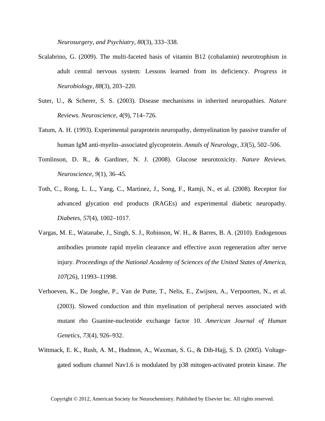*Neurosurgery, and Psychiatry*, *80*(3), 333–338.

- Scalabrino, G. (2009). The multi-faceted basis of vitamin B12 (cobalamin) neurotrophism in adult central nervous system: Lessons learned from its deficiency. *Progress in Neurobiology*, *88*(3), 203–220.
- Suter, U., & Scherer, S. S. (2003). Disease mechanisms in inherited neuropathies. *Nature Reviews. Neuroscience*, *4*(9), 714–726.
- Tatum, A. H. (1993). Experimental paraprotein neuropathy, demyelination by passive transfer of human IgM anti-myelin–associated glycoprotein. *Annals of Neurology*, *33*(5), 502–506.
- Tomlinson, D. R., & Gardiner, N. J. (2008). Glucose neurotoxicity. *Nature Reviews. Neuroscience*, *9*(1), 36–45.
- Toth, C., Rong, L. L., Yang, C., Martinez, J., Song, F., Ramji, N., et al. (2008). Receptor for advanced glycation end products (RAGEs) and experimental diabetic neuropathy. *Diabetes*, *57*(4), 1002–1017.
- Vargas, M. E., Watanabe, J., Singh, S. J., Robinson, W. H., & Barres, B. A. (2010). Endogenous antibodies promote rapid myelin clearance and effective axon regeneration after nerve injury. *Proceedings of the National Academy of Sciences of the United States of America*, *107*(26), 11993–11998.
- Verhoeven, K., De Jonghe, P., Van de Putte, T., Nelis, E., Zwijsen, A., Verpoorten, N., et al. (2003). Slowed conduction and thin myelination of peripheral nerves associated with mutant rho Guanine-nucleotide exchange factor 10. *American Journal of Human Genetics*, *73*(4), 926–932.
- Wittmack, E. K., Rush, A. M., Hudmon, A., Waxman, S. G., & Dib-Hajj, S. D. (2005). Voltagegated sodium channel Nav1.6 is modulated by p38 mitogen-activated protein kinase. *The*